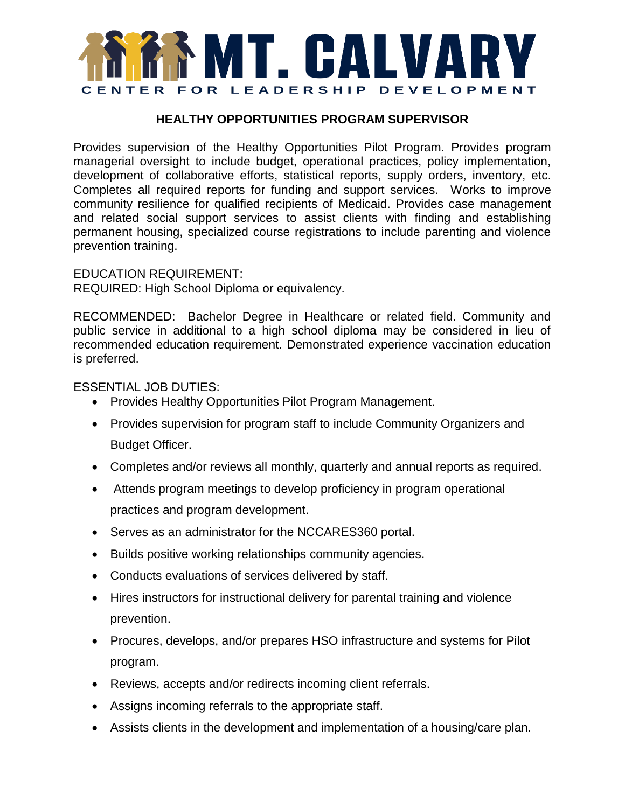

## **HEALTHY OPPORTUNITIES PROGRAM SUPERVISOR**

Provides supervision of the Healthy Opportunities Pilot Program. Provides program managerial oversight to include budget, operational practices, policy implementation, development of collaborative efforts, statistical reports, supply orders, inventory, etc. Completes all required reports for funding and support services. Works to improve community resilience for qualified recipients of Medicaid. Provides case management and related social support services to assist clients with finding and establishing permanent housing, specialized course registrations to include parenting and violence prevention training.

EDUCATION REQUIREMENT: REQUIRED: High School Diploma or equivalency.

RECOMMENDED: Bachelor Degree in Healthcare or related field. Community and public service in additional to a high school diploma may be considered in lieu of recommended education requirement. Demonstrated experience vaccination education is preferred.

ESSENTIAL JOB DUTIES:

- Provides Healthy Opportunities Pilot Program Management.
- Provides supervision for program staff to include Community Organizers and Budget Officer.
- Completes and/or reviews all monthly, quarterly and annual reports as required.
- Attends program meetings to develop proficiency in program operational practices and program development.
- Serves as an administrator for the NCCARES360 portal.
- Builds positive working relationships community agencies.
- Conducts evaluations of services delivered by staff.
- Hires instructors for instructional delivery for parental training and violence prevention.
- Procures, develops, and/or prepares HSO infrastructure and systems for Pilot program.
- Reviews, accepts and/or redirects incoming client referrals.
- Assigns incoming referrals to the appropriate staff.
- Assists clients in the development and implementation of a housing/care plan.